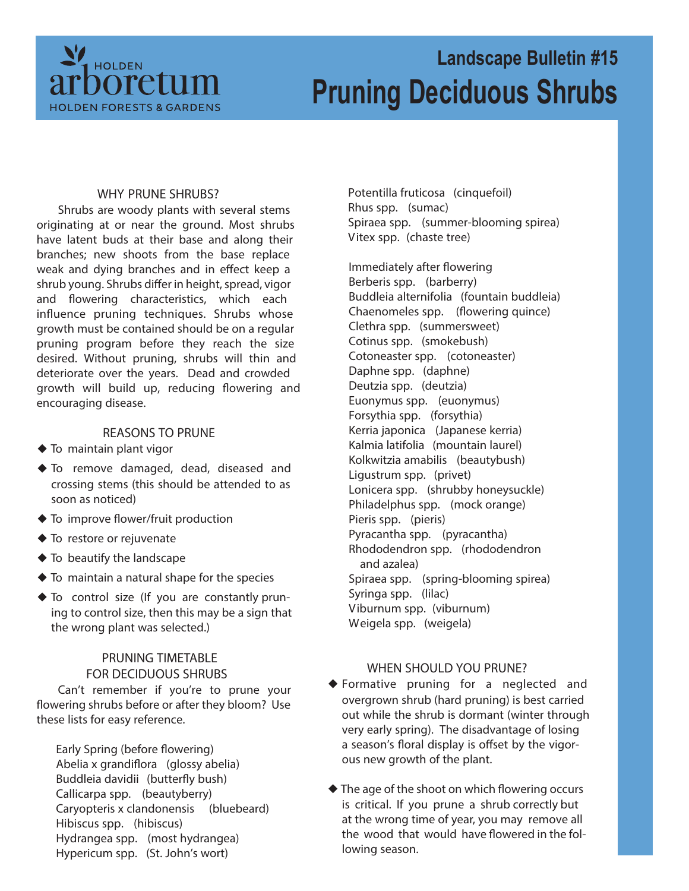

# **Landscape Bulletin #15 Pruning Deciduous Shrubs**

### **WHY PRUNE SHRUBS?**

Shrubs are woody plants with several stems originating at or near the ground. Most shrubs have latent buds at their base and along their branches; new shoots from the base replace weak and dying branches and in effect keep a shrub young. Shrubs differ in height, spread, vigor and flowering characteristics, which each influence pruning techniques. Shrubs whose growth must be contained should be on a regular pruning program before they reach the size desired. Without pruning, shrubs will thin and deteriorate over the years. Dead and crowded growth will build up, reducing flowering and encouraging disease.

#### **REASONS TO PRUNE**

- $\blacklozenge$  To maintain plant vigor
- To remove damaged, dead, diseased and crossing stems (this should be attended to as soon as noticed)
- ◆ To improve flower/fruit production
- ◆ To restore or rejuvenate
- $\blacklozenge$  To beautify the landscape
- $\blacklozenge$  To maintain a natural shape for the species
- To control size (If you are constantly pruning to control size, then this may be a sign that the wrong plant was selected.)

## **PRUNING TIMETABLE FOR DECIDUOUS SHRUBS**

Can't remember if you're to prune your flowering shrubs before or after they bloom? Use these lists for easy reference.

**Early Spring (before flowering)** Abelia x grandiflora (glossy abelia) Buddleia davidii (butterfly bush) Callicarpa spp. (beautyberry) Caryopteris x clandonensis (bluebeard) Hibiscus spp. (hibiscus) Hydrangea spp. (most hydrangea) Hypericum spp. (St. John's wort)

Potentilla fruticosa (cinquefoil) Rhus spp. (sumac) Spiraea spp. (summer-blooming spirea) Vitex spp. (chaste tree)

**Immediately after flowering** Berberis spp. (barberry) Buddleia alternifolia (fountain buddleia) Chaenomeles spp. (flowering quince) Clethra spp. (summersweet) Cotinus spp. (smokebush) Cotoneaster spp. (cotoneaster) Daphne spp. (daphne) Deutzia spp. (deutzia) Euonymus spp. (euonymus) Forsythia spp. (forsythia) Kerria japonica (Japanese kerria) Kalmia latifolia (mountain laurel) Kolkwitzia amabilis (beautybush) Ligustrum spp. (privet) Lonicera spp. (shrubby honeysuckle) Philadelphus spp. (mock orange) Pieris spp. (pieris) Pyracantha spp. (pyracantha) Rhododendron spp. (rhododendron and azalea) Spiraea spp. (spring-blooming spirea) Syringa spp. (lilac) Viburnum spp. (viburnum) Weigela spp. (weigela)

#### **WHEN SHOULD YOU PRUNE?**

- Formative pruning for a neglected and overgrown shrub (hard pruning) is best carried out while the shrub is dormant (winter through very early spring). The disadvantage of losing a season's floral display is offset by the vigorous new growth of the plant.
- ◆ The age of the shoot on which flowering occurs is critical. If you prune a shrub correctly but at the wrong time of year, you may remove all the wood that would have flowered in the following season.